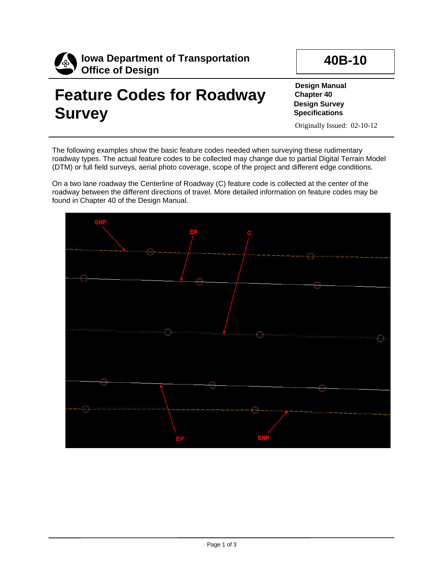

## **Feature Codes for Roadway Survey**

**Design Manual Chapter 40 Design Survey Specifications**

Originally Issued: 02-10-12

The following examples show the basic feature codes needed when surveying these rudimentary roadway types. The actual feature codes to be collected may change due to partial Digital Terrain Model (DTM) or full field surveys, aerial photo coverage, scope of the project and different edge conditions.

On a two lane roadway the Centerline of Roadway (C) feature code is collected at the center of the roadway between the different directions of travel. More detailed information on feature codes may be found in Chapter 40 of the Design Manual.

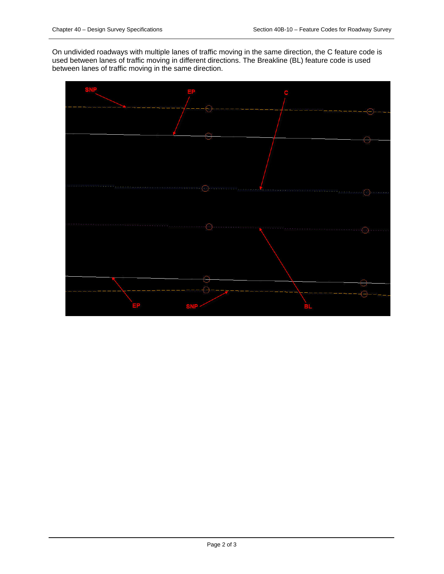On undivided roadways with multiple lanes of traffic moving in the same direction, the C feature code is used between lanes of traffic moving in different directions. The Breakline (BL) feature code is used between lanes of traffic moving in the same direction.

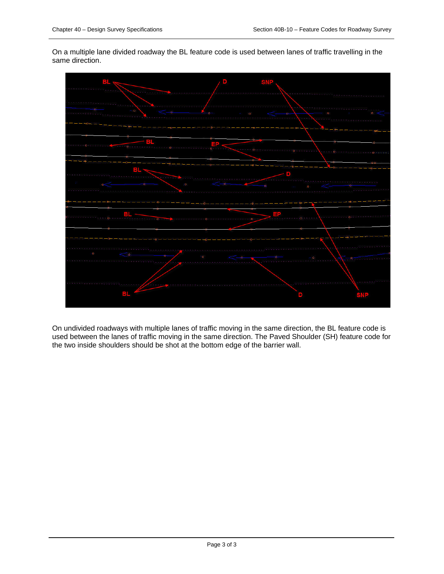On a multiple lane divided roadway the BL feature code is used between lanes of traffic travelling in the same direction.



On undivided roadways with multiple lanes of traffic moving in the same direction, the BL feature code is used between the lanes of traffic moving in the same direction. The Paved Shoulder (SH) feature code for the two inside shoulders should be shot at the bottom edge of the barrier wall.